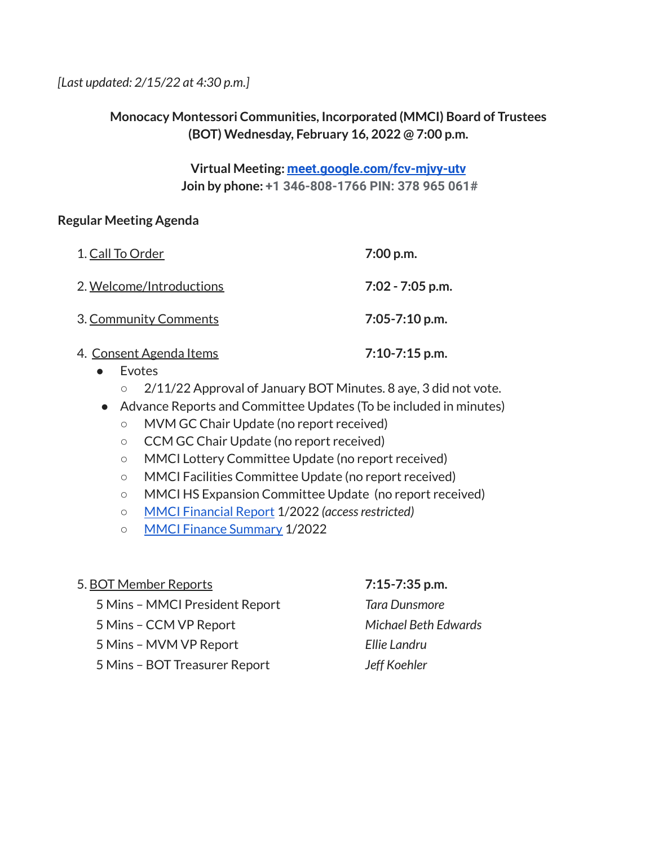*[Last updated: 2/15/22 at 4:30 p.m.]*

## **Monocacy Montessori Communities, Incorporated (MMCI) Board of Trustees (BOT) Wednesday, February 16, 2022 @ 7:00 p.m.**

### **Virtual Meeting: [meet.google.com/fcv-mjvy-utv](http://meet.google.com/fcv-mjvy-utv) Join by phone: +1 346-808-1766 PIN: 378 965 061#**

### **Regular Meeting Agenda**

| 1. Call To Order                | $7:00$ p.m.        |
|---------------------------------|--------------------|
| 2. Welcome/Introductions        | $7:02 - 7:05$ p.m. |
| 3. Community Comments           | $7:05 - 7:10$ p.m. |
| <u> 4. Consent Agenda Items</u> | $7:10-7:15$ p.m.   |

- Evotes
	- 2/11/22 Approval of January BOT Minutes. 8 aye, 3 did not vote.
- Advance Reports and Committee Updates (To be included in minutes)
	- MVM GC Chair Update (no report received)
	- CCM GC Chair Update (no report received)
	- MMCI Lottery Committee Update (no report received)
	- MMCI Facilities Committee Update (no report received)
	- MMCI HS Expansion Committee Update (no report received)
	- MMCI [Financial](https://drive.google.com/file/d/1jP_kPMW65Hsmro9aZ3vdT8eYgP4TZ849/view?usp=sharing) Report 1/2022 *(accessrestricted)*
	- MMCI Finance [Summary](https://docs.google.com/document/d/1NRGiyglQVORyQKyXpct7mlgNzZTHuUs3/edit?usp=sharing&ouid=112286663168399488725&rtpof=true&sd=true) 1/2022

### 5. BOT Member Reports **7:15-7:35 p.m.**

5 Mins – MMCI President Report *Tara Dunsmore*

- 5 Mins CCM VP Report *Michael Beth Edwards*
- 5 Mins MVM VP Report *Ellie Landru*
- 5 Mins BOT Treasurer Report *Jeff Koehler*